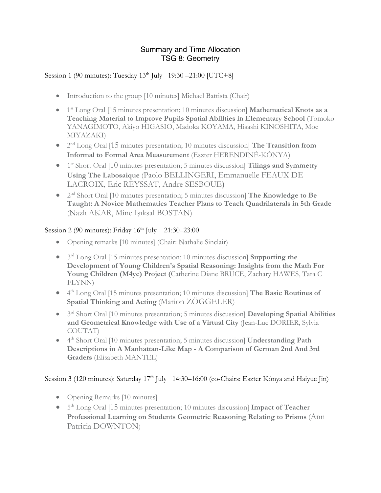## Summary and Time Allocation TSG 8: Geometry

## Session 1 (90 minutes): Tuesday  $13<sup>th</sup>$  July  $19:30 - 21:00$  [UTC+8]

- Introduction to the group [10 minutes] Michael Battista (Chair)
- 1<sup>st</sup> Long Oral [15 minutes presentation; 10 minutes discussion] **Mathematical Knots as a Teaching Material to Improve Pupils Spatial Abilities in Elementary School** (Tomoko YANAGIMOTO, Akiyo HIGASIO, Madoka KOYAMA, Hisashi KINOSHITA, Moe MIYAZAKI)
- 2nd Long Oral [15 minutes presentation; 10 minutes discussion] **The Transition from Informal to Formal Area Measurement** (Eszter HERENDINÉ-KÓNYA)
- 1<sup>st</sup> Short Oral [10 minutes presentation; 5 minutes discussion] **Tilings and Symmetry Using The Labosaique** (Paolo BELLINGERI, Emmanuelle FEAUX DE LACROIX, Eric REYSSAT, Andre SESBOUE**)**
- 2nd Short Oral [10 minutes presentation; 5 minutes discussion] **The Knowledge to Be Taught: A Novice Mathematics Teacher Plans to Teach Quadrilaterals in 5th Grade**  (Nazlı AKAR, Mine Işıksal BOSTAN)

## Session 2 (90 minutes): Friday 16<sup>th</sup> July 21:30–23:00

- Opening remarks [10 minutes] (Chair: Nathalie Sinclair)
- 3rd Long Oral [15 minutes presentation; 10 minutes discussion] **Supporting the Development of Young Children's Spatial Reasoning: Insights from the Math For Young Children (M4yc) Project (**Catherine Diane BRUCE, Zachary HAWES, Tara C FLYNN)
- 4<sup>th</sup> Long Oral [15 minutes presentation; 10 minutes discussion] **The Basic Routines of Spatial Thinking and Acting** (Marion ZÖGGELER)
- 3rd Short Oral [10 minutes presentation; 5 minutes discussion] **Developing Spatial Abilities and Geometrical Knowledge with Use of a Virtual City** (Jean-Luc DORIER, Sylvia COUTAT)
- 4<sup>th</sup> Short Oral [10 minutes presentation; 5 minutes discussion] **Understanding Path Descriptions in A Manhattan-Like Map - A Comparison of German 2nd And 3rd Graders** (Elisabeth MANTEL)

## Session 3 (120 minutes): Saturday 17<sup>th</sup> July 14:30–16:00 (co-Chairs: Eszter Kónya and Haiyue Jin)

- Opening Remarks [10 minutes]
- $5<sup>th</sup> Long Oral [15 minutes presentation; 10 minutes discussion] Impact of Teacher$ **Professional Learning on Students Geometric Reasoning Relating to Prisms** (Ann Patricia DOWNTON)